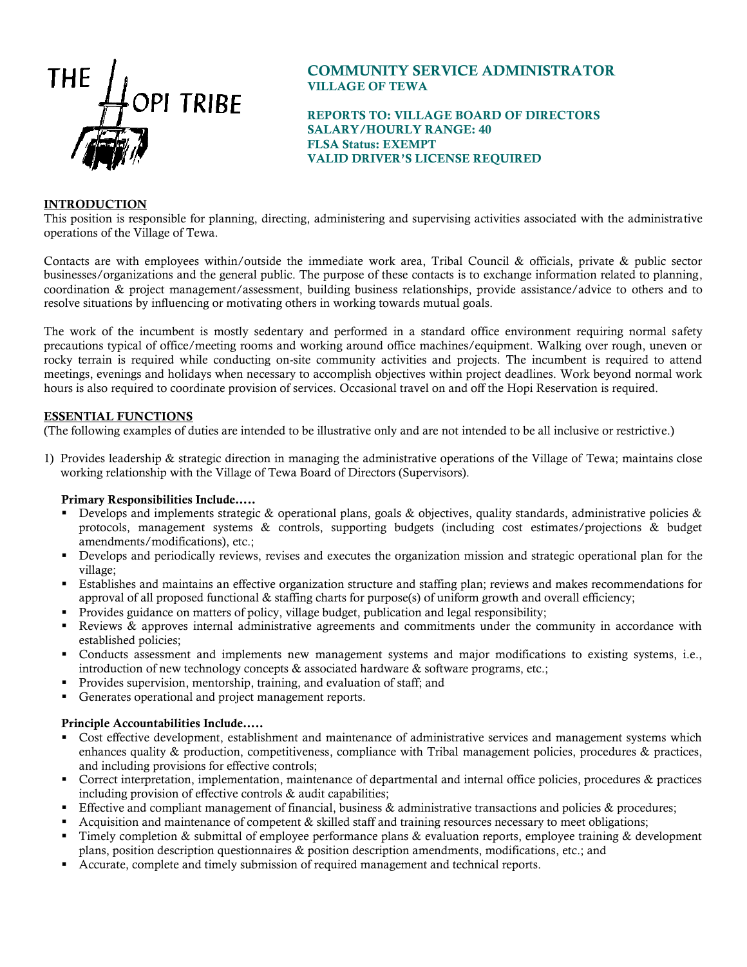

# COMMUNITY SERVICE ADMINISTRATOR VILLAGE OF TEWA

REPORTS TO: VILLAGE BOARD OF DIRECTORS SALARY/HOURLY RANGE: 40 FLSA Status: EXEMPT VALID DRIVER'S LICENSE REQUIRED

## INTRODUCTION

This position is responsible for planning, directing, administering and supervising activities associated with the administrative operations of the Village of Tewa.

Contacts are with employees within/outside the immediate work area, Tribal Council & officials, private & public sector businesses/organizations and the general public. The purpose of these contacts is to exchange information related to planning, coordination & project management/assessment, building business relationships, provide assistance/advice to others and to resolve situations by influencing or motivating others in working towards mutual goals.

The work of the incumbent is mostly sedentary and performed in a standard office environment requiring normal safety precautions typical of office/meeting rooms and working around office machines/equipment. Walking over rough, uneven or rocky terrain is required while conducting on-site community activities and projects. The incumbent is required to attend meetings, evenings and holidays when necessary to accomplish objectives within project deadlines. Work beyond normal work hours is also required to coordinate provision of services. Occasional travel on and off the Hopi Reservation is required.

#### ESSENTIAL FUNCTIONS

(The following examples of duties are intended to be illustrative only and are not intended to be all inclusive or restrictive.)

1) Provides leadership & strategic direction in managing the administrative operations of the Village of Tewa; maintains close working relationship with the Village of Tewa Board of Directors (Supervisors).

#### Primary Responsibilities Include…..

- Develops and implements strategic & operational plans, goals & objectives, quality standards, administrative policies  $\&$ protocols, management systems & controls, supporting budgets (including cost estimates/projections & budget amendments/modifications), etc.;
- Develops and periodically reviews, revises and executes the organization mission and strategic operational plan for the village;
- Establishes and maintains an effective organization structure and staffing plan; reviews and makes recommendations for approval of all proposed functional & staffing charts for purpose(s) of uniform growth and overall efficiency;
- Provides guidance on matters of policy, village budget, publication and legal responsibility;
- Reviews & approves internal administrative agreements and commitments under the community in accordance with established policies;
- Conducts assessment and implements new management systems and major modifications to existing systems, i.e., introduction of new technology concepts & associated hardware & software programs, etc.;
- Provides supervision, mentorship, training, and evaluation of staff; and
- Generates operational and project management reports.

#### Principle Accountabilities Include…..

- Cost effective development, establishment and maintenance of administrative services and management systems which enhances quality & production, competitiveness, compliance with Tribal management policies, procedures & practices, and including provisions for effective controls;
- Correct interpretation, implementation, maintenance of departmental and internal office policies, procedures & practices including provision of effective controls & audit capabilities;
- Effective and compliant management of financial, business & administrative transactions and policies & procedures;
- Acquisition and maintenance of competent & skilled staff and training resources necessary to meet obligations;
- Timely completion & submittal of employee performance plans & evaluation reports, employee training & development plans, position description questionnaires & position description amendments, modifications, etc.; and
- Accurate, complete and timely submission of required management and technical reports.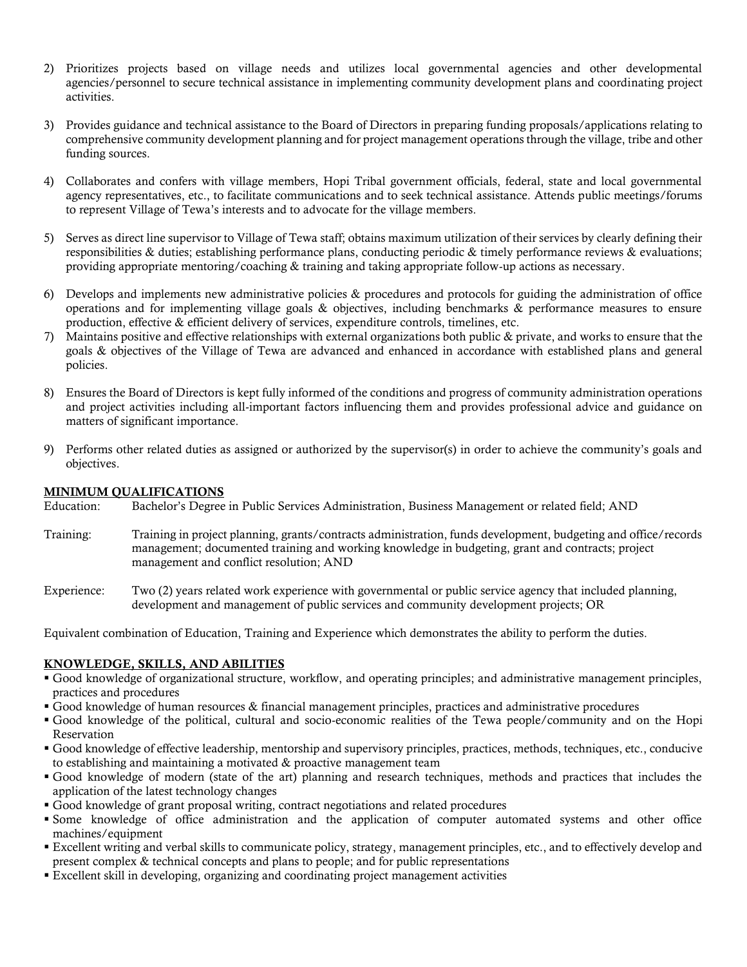- 2) Prioritizes projects based on village needs and utilizes local governmental agencies and other developmental agencies/personnel to secure technical assistance in implementing community development plans and coordinating project activities.
- 3) Provides guidance and technical assistance to the Board of Directors in preparing funding proposals/applications relating to comprehensive community development planning and for project management operations through the village, tribe and other funding sources.
- 4) Collaborates and confers with village members, Hopi Tribal government officials, federal, state and local governmental agency representatives, etc., to facilitate communications and to seek technical assistance. Attends public meetings/forums to represent Village of Tewa's interests and to advocate for the village members.
- 5) Serves as direct line supervisor to Village of Tewa staff; obtains maximum utilization of their services by clearly defining their responsibilities & duties; establishing performance plans, conducting periodic & timely performance reviews & evaluations; providing appropriate mentoring/coaching & training and taking appropriate follow-up actions as necessary.
- 6) Develops and implements new administrative policies & procedures and protocols for guiding the administration of office operations and for implementing village goals & objectives, including benchmarks & performance measures to ensure production, effective & efficient delivery of services, expenditure controls, timelines, etc.
- 7) Maintains positive and effective relationships with external organizations both public & private, and works to ensure that the goals & objectives of the Village of Tewa are advanced and enhanced in accordance with established plans and general policies.
- 8) Ensures the Board of Directors is kept fully informed of the conditions and progress of community administration operations and project activities including all-important factors influencing them and provides professional advice and guidance on matters of significant importance.
- 9) Performs other related duties as assigned or authorized by the supervisor(s) in order to achieve the community's goals and objectives.

#### MINIMUM QUALIFICATIONS

Education: Bachelor's Degree in Public Services Administration, Business Management or related field; AND

- Training: Training in project planning, grants/contracts administration, funds development, budgeting and office/records management; documented training and working knowledge in budgeting, grant and contracts; project management and conflict resolution; AND
- Experience: Two (2) years related work experience with governmental or public service agency that included planning, development and management of public services and community development projects; OR

Equivalent combination of Education, Training and Experience which demonstrates the ability to perform the duties.

## KNOWLEDGE, SKILLS, AND ABILITIES

- Good knowledge of organizational structure, workflow, and operating principles; and administrative management principles, practices and procedures
- Good knowledge of human resources & financial management principles, practices and administrative procedures
- Good knowledge of the political, cultural and socio-economic realities of the Tewa people/community and on the Hopi Reservation
- Good knowledge of effective leadership, mentorship and supervisory principles, practices, methods, techniques, etc., conducive to establishing and maintaining a motivated & proactive management team
- Good knowledge of modern (state of the art) planning and research techniques, methods and practices that includes the application of the latest technology changes
- Good knowledge of grant proposal writing, contract negotiations and related procedures
- Some knowledge of office administration and the application of computer automated systems and other office machines/equipment
- Excellent writing and verbal skills to communicate policy, strategy, management principles, etc., and to effectively develop and present complex & technical concepts and plans to people; and for public representations
- Excellent skill in developing, organizing and coordinating project management activities